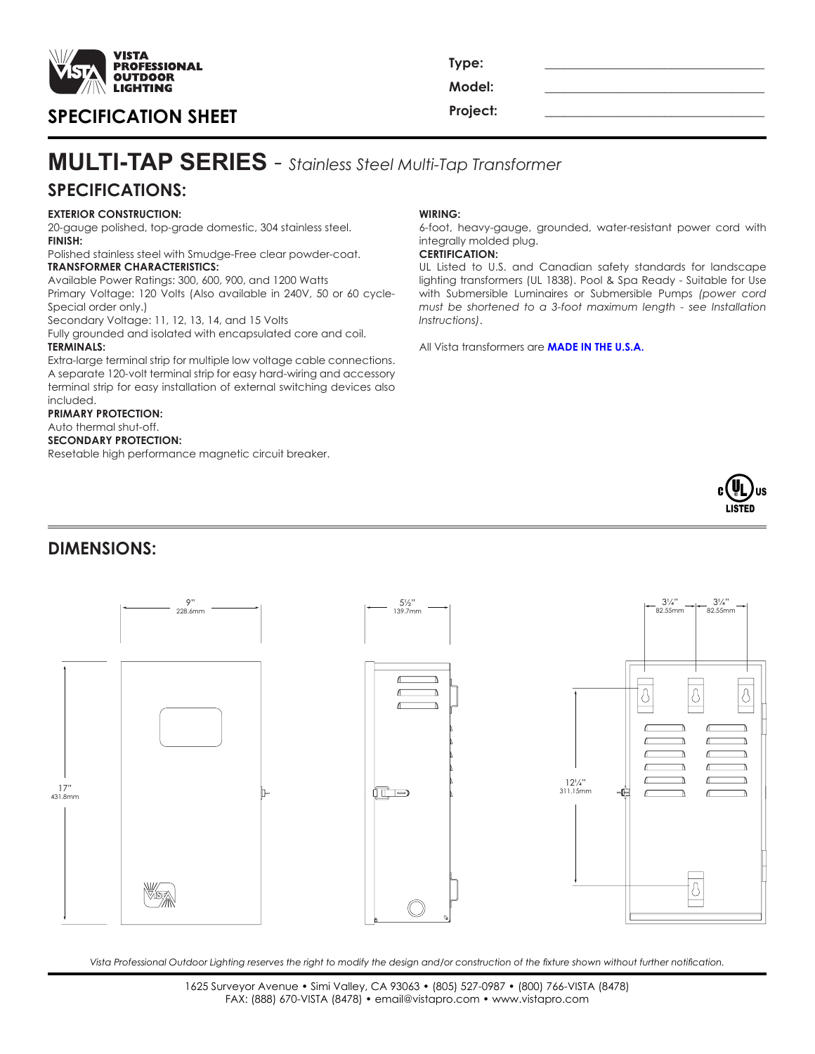

## **Project: \_\_\_\_\_\_\_\_\_\_\_\_\_\_\_\_\_\_\_\_\_\_\_\_\_\_\_\_\_\_\_\_\_ SPECIFICATION SHEET**

**Type: \_\_\_\_\_\_\_\_\_\_\_\_\_\_\_\_\_\_\_\_\_\_\_\_\_\_\_\_\_\_\_\_\_ Model: \_\_\_\_\_\_\_\_\_\_\_\_\_\_\_\_\_\_\_\_\_\_\_\_\_\_\_\_\_\_\_\_\_**

# **SPECIFICATIONS: MULTI-TAP SERIES** - *Stainless Steel Multi-Tap Transformer*

## **EXTERIOR CONSTRUCTION:**

20-gauge polished, top-grade domestic, 304 stainless steel. **FINISH:**

Polished stainless steel with Smudge-Free clear powder-coat. **TRANSFORMER CHARACTERISTICS:**

Available Power Ratings: 300, 600, 900, and 1200 Watts Primary Voltage: 120 Volts (Also available in 240V, 50 or 60 cycle-

Special order only.) Secondary Voltage: 11, 12, 13, 14, and 15 Volts

Fully grounded and isolated with encapsulated core and coil.

#### **TERMINALS:**

Extra-large terminal strip for multiple low voltage cable connections. A separate 120-volt terminal strip for easy hard-wiring and accessory terminal strip for easy installation of external switching devices also included.

#### **PRIMARY PROTECTION:**

Auto thermal shut-off. **SECONDARY PROTECTION:** Resetable high performance magnetic circuit breaker.

#### **WIRING:**

6-foot, heavy-gauge, grounded, water-resistant power cord with integrally molded plug.

#### **CERTIFICATION:**

UL Listed to U.S. and Canadian safety standards for landscape lighting transformers (UL 1838). Pool & Spa Ready - Suitable for Use with Submersible Luminaires or Submersible Pumps *(power cord must be shortened to a 3-foot maximum length - see Installation Instructions)*.

All Vista transformers are **MADE IN THE U.S.A.**



### **DIMENSIONS:**



*Vista Professional Outdoor Lighting reserves the right to modify the design and/or construction of the fixture shown without further notification.*